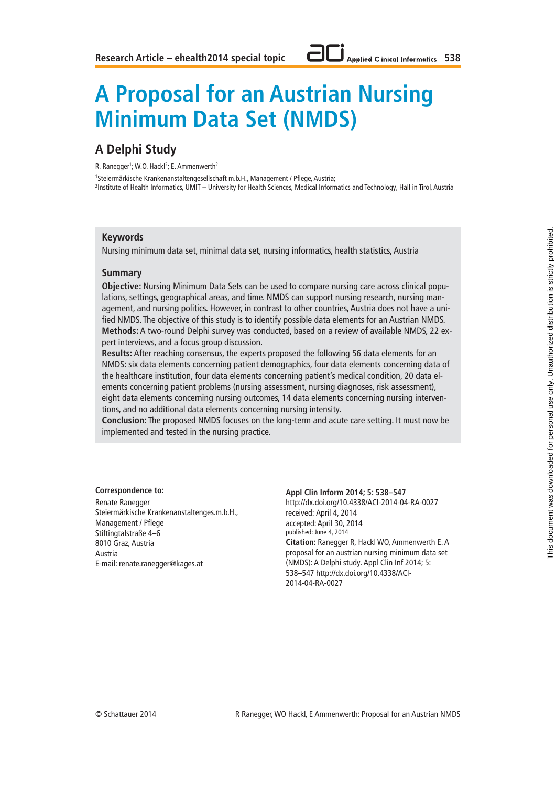# **A Proposal for an Austrian Nursing Minimum Data Set (NMDS)**

# **A Delphi Study**

R. Ranegger<sup>1</sup>; W.O. Hackl<sup>2</sup>; E. Ammenwerth<sup>2</sup>

1 Steiermärkische Krankenanstaltengesellschaft m.b.H., Management / Pflege, Austria;

2 Institute of Health Informatics, UMIT – University for Health Sciences, Medical Informatics and Technology, Hall in Tirol, Austria

#### **Keywords**

Nursing minimum data set, minimal data set, nursing informatics, health statistics, Austria

#### **Summary**

**Objective:** Nursing Minimum Data Sets can be used to compare nursing care across clinical populations, settings, geographical areas, and time. NMDS can support nursing research, nursing management, and nursing politics. However, in contrast to other countries, Austria does not have a unified NMDS. The objective of this study is to identify possible data elements for an Austrian NMDS. **Methods:** A two-round Delphi survey was conducted, based on a review of available NMDS, 22 expert interviews, and a focus group discussion.

**Results:** After reaching consensus, the experts proposed the following 56 data elements for an NMDS: six data elements concerning patient demographics, four data elements concerning data of the healthcare institution, four data elements concerning patient's medical condition, 20 data elements concerning patient problems (nursing assessment, nursing diagnoses, risk assessment), eight data elements concerning nursing outcomes, 14 data elements concerning nursing interventions, and no additional data elements concerning nursing intensity.

**Conclusion:** The proposed NMDS focuses on the long-term and acute care setting. It must now be implemented and tested in the nursing practice.

#### **Correspondence to:**

Renate Ranegger Steiermärkische Krankenanstaltenges.m.b.H., Management / Pflege Stiftingtalstraße 4–6 8010 Graz, Austria Austria E-mail: renate.ranegger@kages.at

#### **Appl Clin Inform 2014; 5: 538–547**

http://dx.doi.org/10.4338/ACI-2014-04-RA-0027 received: April 4, 2014 accepted: April 30, 2014 published: June 4, 2014 **Citation:** Ranegger R, Hackl WO, Ammenwerth E. A proposal for an austrian nursing minimum data set (NMDS): A Delphi study. Appl Clin Inf 2014; 5: 538–547 http://dx.doi.org/10.4338/ACI-2014-04-RA-0027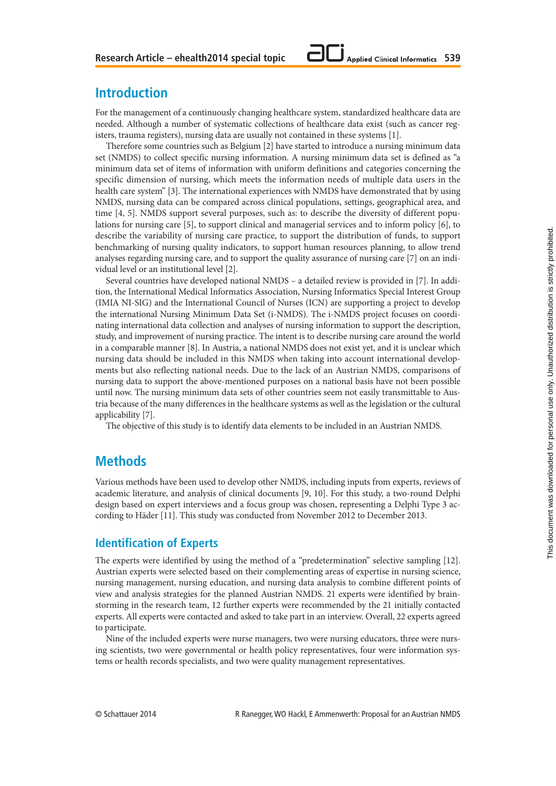# **Introduction**

For the management of a continuously changing healthcare system, standardized healthcare data are needed. Although a number of systematic collections of healthcare data exist (such as cancer registers, trauma registers), nursing data are usually not contained in these systems [1].

Therefore some countries such as Belgium [2] have started to introduce a nursing minimum data set (NMDS) to collect specific nursing information. A nursing minimum data set is defined as "a minimum data set of items of information with uniform definitions and categories concerning the specific dimension of nursing, which meets the information needs of multiple data users in the health care system" [3]. The international experiences with NMDS have demonstrated that by using NMDS, nursing data can be compared across clinical populations, settings, geographical area, and time [4, 5]. NMDS support several purposes, such as: to describe the diversity of different populations for nursing care [5], to support clinical and managerial services and to inform policy [6], to describe the variability of nursing care practice, to support the distribution of funds, to support benchmarking of nursing quality indicators, to support human resources planning, to allow trend analyses regarding nursing care, and to support the quality assurance of nursing care [7] on an individual level or an institutional level [2].

Several countries have developed national NMDS – a detailed review is provided in [7]. In addition, the International Medical Informatics Association, Nursing Informatics Special Interest Group (IMIA NI-SIG) and the International Council of Nurses (ICN) are supporting a project to develop the international Nursing Minimum Data Set (i-NMDS). The i-NMDS project focuses on coordinating international data collection and analyses of nursing information to support the description, study, and improvement of nursing practice. The intent is to describe nursing care around the world in a comparable manner [8]. In Austria, a national NMDS does not exist yet, and it is unclear which nursing data should be included in this NMDS when taking into account international developments but also reflecting national needs. Due to the lack of an Austrian NMDS, comparisons of nursing data to support the above-mentioned purposes on a national basis have not been possible until now. The nursing minimum data sets of other countries seem not easily transmittable to Austria because of the many differences in the healthcare systems as well as the legislation or the cultural applicability [7].

The objective of this study is to identify data elements to be included in an Austrian NMDS.

# **Methods**

Various methods have been used to develop other NMDS, including inputs from experts, reviews of academic literature, and analysis of clinical documents [9, 10]. For this study, a two-round Delphi design based on expert interviews and a focus group was chosen, representing a Delphi Type 3 according to Häder [11]. This study was conducted from November 2012 to December 2013.

#### **Identification of Experts**

The experts were identified by using the method of a "predetermination" selective sampling [12]. Austrian experts were selected based on their complementing areas of expertise in nursing science, nursing management, nursing education, and nursing data analysis to combine different points of view and analysis strategies for the planned Austrian NMDS. 21 experts were identified by brainstorming in the research team, 12 further experts were recommended by the 21 initially contacted experts. All experts were contacted and asked to take part in an interview. Overall, 22 experts agreed to participate.

Nine of the included experts were nurse managers, two were nursing educators, three were nursing scientists, two were governmental or health policy representatives, four were information systems or health records specialists, and two were quality management representatives.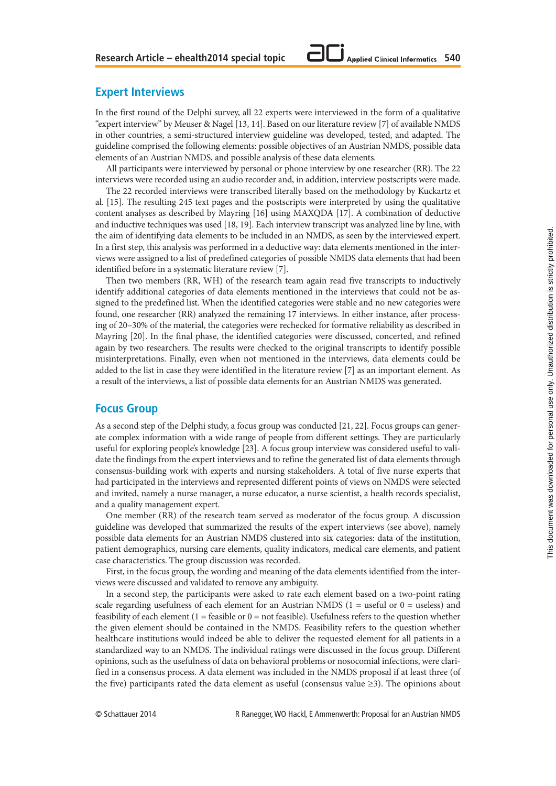## **Expert Interviews**

In the first round of the Delphi survey, all 22 experts were interviewed in the form of a qualitative "expert interview" by Meuser & Nagel [13, 14]. Based on our literature review [7] of available NMDS in other countries, a semi-structured interview guideline was developed, tested, and adapted. The guideline comprised the following elements: possible objectives of an Austrian NMDS, possible data elements of an Austrian NMDS, and possible analysis of these data elements.

All participants were interviewed by personal or phone interview by one researcher (RR). The 22 interviews were recorded using an audio recorder and, in addition, interview postscripts were made.

The 22 recorded interviews were transcribed literally based on the methodology by Kuckartz et al. [15]. The resulting 245 text pages and the postscripts were interpreted by using the qualitative content analyses as described by Mayring [16] using MAXQDA [17]. A combination of deductive and inductive techniques was used [18, 19]. Each interview transcript was analyzed line by line, with the aim of identifying data elements to be included in an NMDS, as seen by the interviewed expert. In a first step, this analysis was performed in a deductive way: data elements mentioned in the interviews were assigned to a list of predefined categories of possible NMDS data elements that had been identified before in a systematic literature review [7].

Then two members (RR, WH) of the research team again read five transcripts to inductively identify additional categories of data elements mentioned in the interviews that could not be assigned to the predefined list. When the identified categories were stable and no new categories were found, one researcher (RR) analyzed the remaining 17 interviews. In either instance, after processing of 20–30% of the material, the categories were rechecked for formative reliability as described in Mayring [20]. In the final phase, the identified categories were discussed, concerted, and refined again by two researchers. The results were checked to the original transcripts to identify possible misinterpretations. Finally, even when not mentioned in the interviews, data elements could be added to the list in case they were identified in the literature review [7] as an important element. As a result of the interviews, a list of possible data elements for an Austrian NMDS was generated.

#### **Focus Group**

As a second step of the Delphi study, a focus group was conducted [21, 22]. Focus groups can generate complex information with a wide range of people from different settings. They are particularly useful for exploring people's knowledge [23]. A focus group interview was considered useful to validate the findings from the expert interviews and to refine the generated list of data elements through consensus-building work with experts and nursing stakeholders. A total of five nurse experts that had participated in the interviews and represented different points of views on NMDS were selected and invited, namely a nurse manager, a nurse educator, a nurse scientist, a health records specialist, and a quality management expert.

One member (RR) of the research team served as moderator of the focus group. A discussion guideline was developed that summarized the results of the expert interviews (see above), namely possible data elements for an Austrian NMDS clustered into six categories: data of the institution, patient demographics, nursing care elements, quality indicators, medical care elements, and patient case characteristics. The group discussion was recorded.

First, in the focus group, the wording and meaning of the data elements identified from the interviews were discussed and validated to remove any ambiguity.

In a second step, the participants were asked to rate each element based on a two-point rating scale regarding usefulness of each element for an Austrian NMDS ( $1 =$  useful or  $0 =$  useless) and feasibility of each element ( $1 =$  feasible or  $0 =$  not feasible). Usefulness refers to the question whether the given element should be contained in the NMDS. Feasibility refers to the question whether healthcare institutions would indeed be able to deliver the requested element for all patients in a standardized way to an NMDS. The individual ratings were discussed in the focus group. Different opinions, such as the usefulness of data on behavioral problems or nosocomial infections, were clarified in a consensus process. A data element was included in the NMDS proposal if at least three (of the five) participants rated the data element as useful (consensus value  $\geq$ 3). The opinions about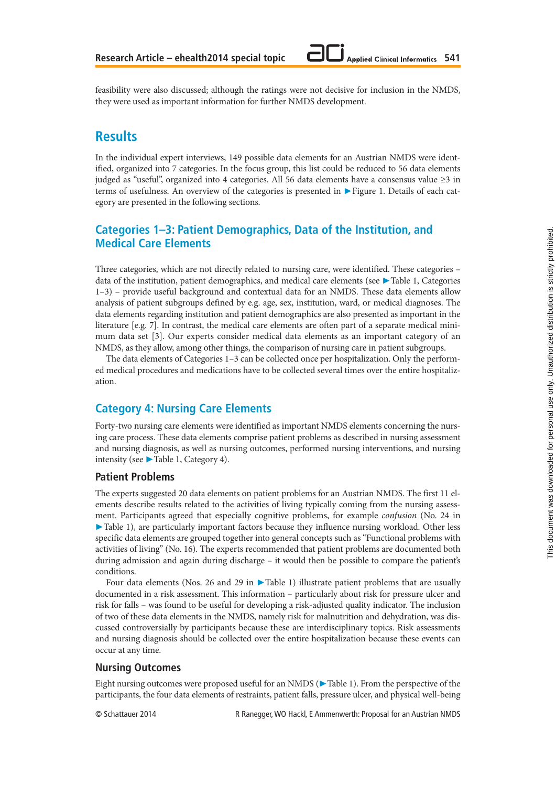feasibility were also discussed; although the ratings were not decisive for inclusion in the NMDS, they were used as important information for further NMDS development.

# **Results**

In the individual expert interviews, 149 possible data elements for an Austrian NMDS were identified, organized into 7 categories. In the focus group, this list could be reduced to 56 data elements judged as "useful", organized into 4 categories. All 56 data elements have a consensus value ≥3 in terms of usefulness. An overview of the categories is presented in ▶ Figure 1. Details of each category are presented in the following sections.

# **Categories 1–3: Patient Demographics, Data of the Institution, and Medical Care Elements**

Three categories, which are not directly related to nursing care, were identified. These categories – data of the institution, patient demographics, and medical care elements (see ▶ Table 1, Categories 1–3) – provide useful background and contextual data for an NMDS. These data elements allow analysis of patient subgroups defined by e.g. age, sex, institution, ward, or medical diagnoses. The data elements regarding institution and patient demographics are also presented as important in the literature [e.g. 7]. In contrast, the medical care elements are often part of a separate medical minimum data set [3]. Our experts consider medical data elements as an important category of an NMDS, as they allow, among other things, the comparison of nursing care in patient subgroups.

The data elements of Categories 1–3 can be collected once per hospitalization. Only the performed medical procedures and medications have to be collected several times over the entire hospitalization.

# **Category 4: Nursing Care Elements**

Forty-two nursing care elements were identified as important NMDS elements concerning the nursing care process. These data elements comprise patient problems as described in nursing assessment and nursing diagnosis, as well as nursing outcomes, performed nursing interventions, and nursing intensity (see ▶ Table 1, Category 4).

### **Patient Problems**

The experts suggested 20 data elements on patient problems for an Austrian NMDS. The first 11 elements describe results related to the activities of living typically coming from the nursing assessment. Participants agreed that especially cognitive problems, for example *confusion* (No. 24 in  $\blacktriangleright$  Table 1), are particularly important factors because they influence nursing workload. Other less specific data elements are grouped together into general concepts such as "Functional problems with activities of living" (No. 16). The experts recommended that patient problems are documented both during admission and again during discharge – it would then be possible to compare the patient's conditions.

Four data elements (Nos. 26 and 29 in  $\blacktriangleright$  Table 1) illustrate patient problems that are usually documented in a risk assessment. This information – particularly about risk for pressure ulcer and risk for falls – was found to be useful for developing a risk-adjusted quality indicator. The inclusion of two of these data elements in the NMDS, namely risk for malnutrition and dehydration, was discussed controversially by participants because these are interdisciplinary topics. Risk assessments and nursing diagnosis should be collected over the entire hospitalization because these events can occur at any time.

#### **Nursing Outcomes**

Eight nursing outcomes were proposed useful for an NMDS ( $\blacktriangleright$  Table 1). From the perspective of the participants, the four data elements of restraints, patient falls, pressure ulcer, and physical well-being

R Ranegger, WO Hackl, E Ammenwerth: Proposal for an Austrian NMDS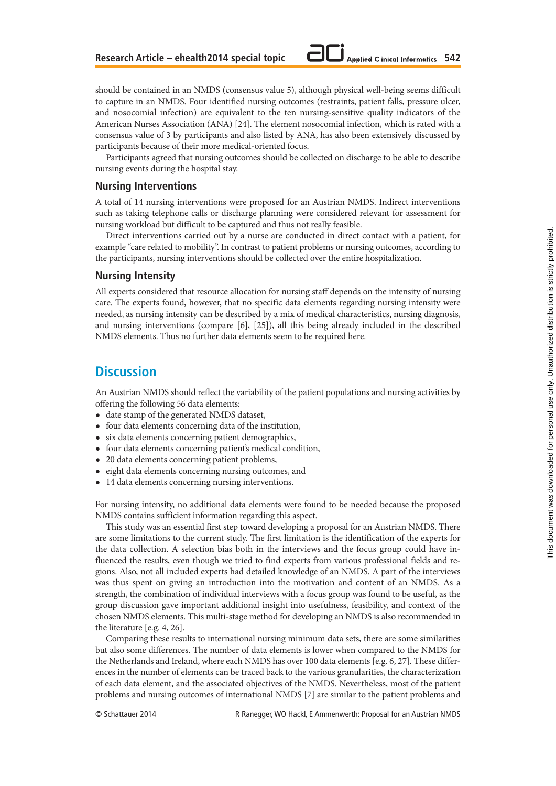should be contained in an NMDS (consensus value 5), although physical well-being seems difficult to capture in an NMDS. Four identified nursing outcomes (restraints, patient falls, pressure ulcer, and nosocomial infection) are equivalent to the ten nursing-sensitive quality indicators of the American Nurses Association (ANA) [24]. The element nosocomial infection, which is rated with a consensus value of 3 by participants and also listed by ANA, has also been extensively discussed by participants because of their more medical-oriented focus.

Participants agreed that nursing outcomes should be collected on discharge to be able to describe nursing events during the hospital stay.

#### **Nursing Interventions**

A total of 14 nursing interventions were proposed for an Austrian NMDS. Indirect interventions such as taking telephone calls or discharge planning were considered relevant for assessment for nursing workload but difficult to be captured and thus not really feasible.

Direct interventions carried out by a nurse are conducted in direct contact with a patient, for example "care related to mobility". In contrast to patient problems or nursing outcomes, according to the participants, nursing interventions should be collected over the entire hospitalization.

#### **Nursing Intensity**

All experts considered that resource allocation for nursing staff depends on the intensity of nursing care. The experts found, however, that no specific data elements regarding nursing intensity were needed, as nursing intensity can be described by a mix of medical characteristics, nursing diagnosis, and nursing interventions (compare [6], [25]), all this being already included in the described NMDS elements. Thus no further data elements seem to be required here.

# **Discussion**

An Austrian NMDS should reflect the variability of the patient populations and nursing activities by offering the following 56 data elements:

- **•** date stamp of the generated NMDS dataset,
- **•** four data elements concerning data of the institution,
- **•** six data elements concerning patient demographics,
- **•** four data elements concerning patient's medical condition,
- **•** 20 data elements concerning patient problems,
- **•** eight data elements concerning nursing outcomes, and
- **•** 14 data elements concerning nursing interventions.

For nursing intensity, no additional data elements were found to be needed because the proposed NMDS contains sufficient information regarding this aspect.

This study was an essential first step toward developing a proposal for an Austrian NMDS. There are some limitations to the current study. The first limitation is the identification of the experts for the data collection. A selection bias both in the interviews and the focus group could have influenced the results, even though we tried to find experts from various professional fields and regions. Also, not all included experts had detailed knowledge of an NMDS. A part of the interviews was thus spent on giving an introduction into the motivation and content of an NMDS. As a strength, the combination of individual interviews with a focus group was found to be useful, as the group discussion gave important additional insight into usefulness, feasibility, and context of the chosen NMDS elements. This multi-stage method for developing an NMDS is also recommended in the literature [e.g. 4, 26].

Comparing these results to international nursing minimum data sets, there are some similarities but also some differences. The number of data elements is lower when compared to the NMDS for the Netherlands and Ireland, where each NMDS has over 100 data elements [e.g. 6, 27]. These differences in the number of elements can be traced back to the various granularities, the characterization of each data element, and the associated objectives of the NMDS. Nevertheless, most of the patient problems and nursing outcomes of international NMDS [7] are similar to the patient problems and

R Ranegger, WO Hackl, E Ammenwerth: Proposal for an Austrian NMDS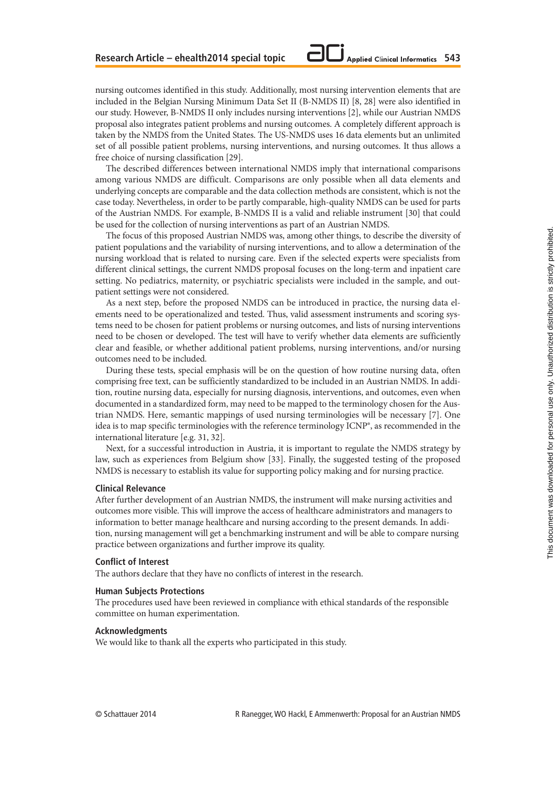#### nursing outcomes identified in this study. Additionally, most nursing intervention elements that are included in the Belgian Nursing Minimum Data Set II (B-NMDS II) [8, 28] were also identified in our study. However, B-NMDS II only includes nursing interventions [2], while our Austrian NMDS proposal also integrates patient problems and nursing outcomes. A completely different approach is taken by the NMDS from the United States. The US-NMDS uses 16 data elements but an unlimited set of all possible patient problems, nursing interventions, and nursing outcomes. It thus allows a free choice of nursing classification [29].

The described differences between international NMDS imply that international comparisons among various NMDS are difficult. Comparisons are only possible when all data elements and underlying concepts are comparable and the data collection methods are consistent, which is not the case today. Nevertheless, in order to be partly comparable, high-quality NMDS can be used for parts of the Austrian NMDS. For example, B-NMDS II is a valid and reliable instrument [30] that could be used for the collection of nursing interventions as part of an Austrian NMDS.

The focus of this proposed Austrian NMDS was, among other things, to describe the diversity of patient populations and the variability of nursing interventions, and to allow a determination of the nursing workload that is related to nursing care. Even if the selected experts were specialists from different clinical settings, the current NMDS proposal focuses on the long-term and inpatient care setting. No pediatrics, maternity, or psychiatric specialists were included in the sample, and outpatient settings were not considered.

As a next step, before the proposed NMDS can be introduced in practice, the nursing data elements need to be operationalized and tested. Thus, valid assessment instruments and scoring systems need to be chosen for patient problems or nursing outcomes, and lists of nursing interventions need to be chosen or developed. The test will have to verify whether data elements are sufficiently clear and feasible, or whether additional patient problems, nursing interventions, and/or nursing outcomes need to be included.

During these tests, special emphasis will be on the question of how routine nursing data, often comprising free text, can be sufficiently standardized to be included in an Austrian NMDS. In addition, routine nursing data, especially for nursing diagnosis, interventions, and outcomes, even when documented in a standardized form, may need to be mapped to the terminology chosen for the Austrian NMDS. Here, semantic mappings of used nursing terminologies will be necessary [7]. One idea is to map specific terminologies with the reference terminology ICNP®, as recommended in the international literature [e.g. 31, 32].

Next, for a successful introduction in Austria, it is important to regulate the NMDS strategy by law, such as experiences from Belgium show [33]. Finally, the suggested testing of the proposed NMDS is necessary to establish its value for supporting policy making and for nursing practice.

#### **Clinical Relevance**

After further development of an Austrian NMDS, the instrument will make nursing activities and outcomes more visible. This will improve the access of healthcare administrators and managers to information to better manage healthcare and nursing according to the present demands. In addition, nursing management will get a benchmarking instrument and will be able to compare nursing practice between organizations and further improve its quality.

#### **Conflict of Interest**

The authors declare that they have no conflicts of interest in the research.

#### **Human Subjects Protections**

The procedures used have been reviewed in compliance with ethical standards of the responsible committee on human experimentation.

#### **Acknowledgments**

We would like to thank all the experts who participated in this study.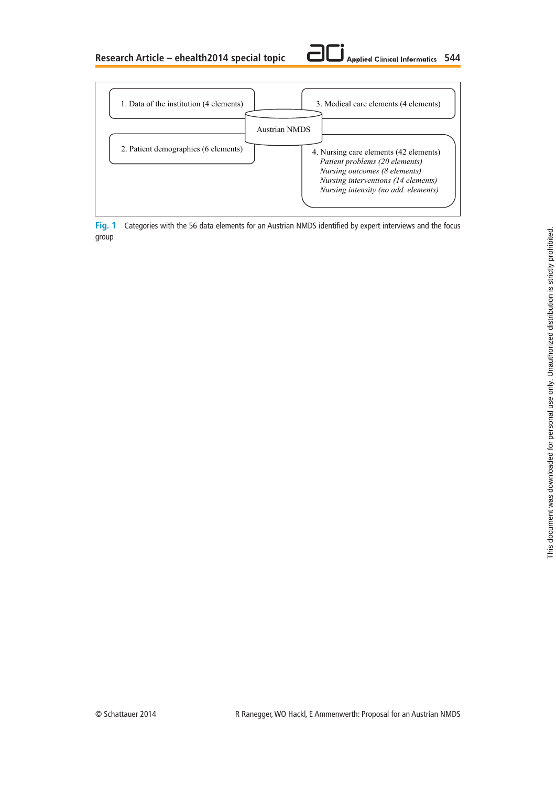## **Research Article – ehealth2014 special topic**





**Fig. 1** Categories with the 56 data elements for an Austrian NMDS identified by expert interviews and the focus group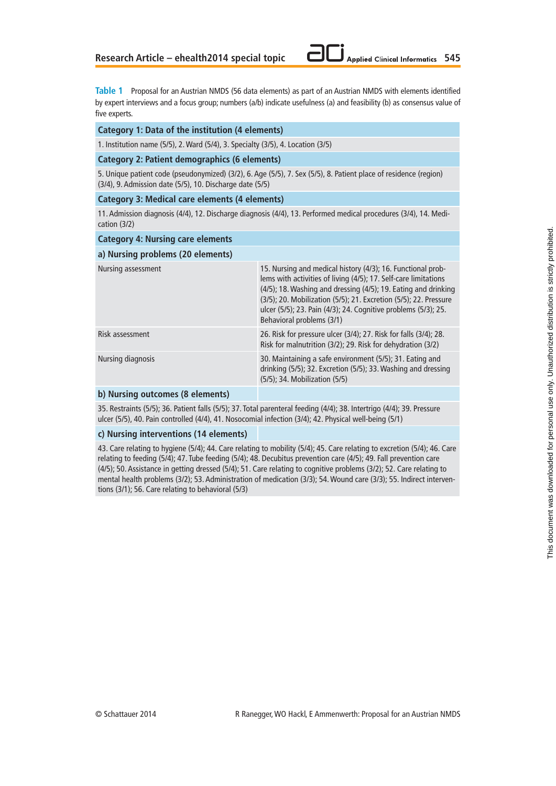**Table 1** Proposal for an Austrian NMDS (56 data elements) as part of an Austrian NMDS with elements identified by expert interviews and a focus group; numbers (a/b) indicate usefulness (a) and feasibility (b) as consensus value of five experts.

#### **Category 1: Data of the institution (4 elements)**

1. Institution name (5/5), 2. Ward (5/4), 3. Specialty (3/5), 4. Location (3/5)

#### **Category 2: Patient demographics (6 elements)**

5. Unique patient code (pseudonymized) (3/2), 6. Age (5/5), 7. Sex (5/5), 8. Patient place of residence (region) (3/4), 9. Admission date (5/5), 10. Discharge date (5/5)

#### **Category 3: Medical care elements (4 elements)**

11. Admission diagnosis (4/4), 12. Discharge diagnosis (4/4), 13. Performed medical procedures (3/4), 14. Medication (3/2)

#### **Category 4: Nursing care elements**

| a) Nursing problems (20 elements) |                                                                                                                                                                                                                                                                                                                                                                     |
|-----------------------------------|---------------------------------------------------------------------------------------------------------------------------------------------------------------------------------------------------------------------------------------------------------------------------------------------------------------------------------------------------------------------|
| Nursing assessment                | 15. Nursing and medical history (4/3); 16. Functional prob-<br>lems with activities of living (4/5); 17. Self-care limitations<br>(4/5); 18. Washing and dressing (4/5); 19. Eating and drinking<br>(3/5); 20. Mobilization (5/5); 21. Excretion (5/5); 22. Pressure<br>ulcer (5/5); 23. Pain (4/3); 24. Cognitive problems (5/3); 25.<br>Behavioral problems (3/1) |
| Risk assessment                   | 26. Risk for pressure ulcer (3/4); 27. Risk for falls (3/4); 28.<br>Risk for malnutrition (3/2); 29. Risk for dehydration (3/2)                                                                                                                                                                                                                                     |
| Nursing diagnosis                 | 30. Maintaining a safe environment (5/5); 31. Eating and<br>drinking (5/5); 32. Excretion (5/5); 33. Washing and dressing<br>(5/5); 34. Mobilization (5/5)                                                                                                                                                                                                          |
|                                   |                                                                                                                                                                                                                                                                                                                                                                     |

#### **b) Nursing outcomes (8 elements)**

35. Restraints (5/5); 36. Patient falls (5/5); 37. Total parenteral feeding (4/4); 38. Intertrigo (4/4); 39. Pressure ulcer (5/5), 40. Pain controlled (4/4), 41. Nosocomial infection (3/4); 42. Physical well-being (5/1)

#### **c) Nursing interventions (14 elements)**

43. Care relating to hygiene (5/4); 44. Care relating to mobility (5/4); 45. Care relating to excretion (5/4); 46. Care relating to feeding (5/4); 47. Tube feeding (5/4); 48. Decubitus prevention care (4/5); 49. Fall prevention care (4/5); 50. Assistance in getting dressed (5/4); 51. Care relating to cognitive problems (3/2); 52. Care relating to mental health problems (3/2); 53. Administration of medication (3/3); 54. Wound care (3/3); 55. Indirect interventions (3/1); 56. Care relating to behavioral (5/3)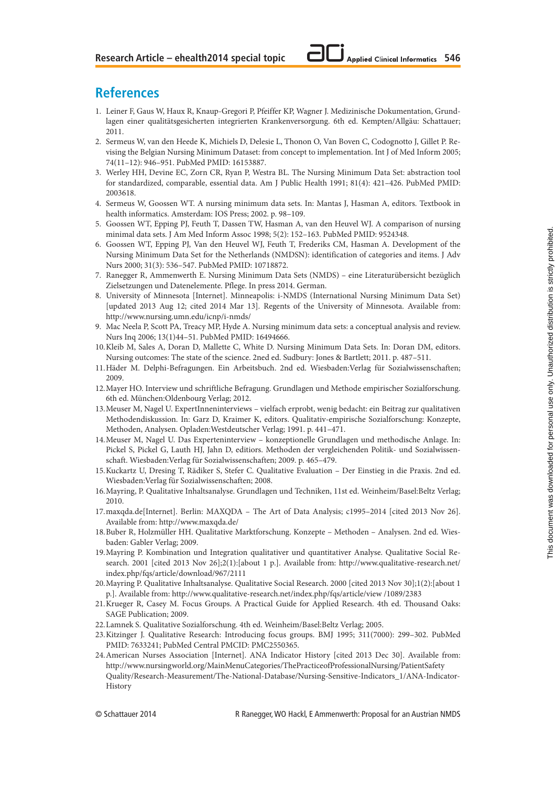# **References**

- 1. Leiner F, Gaus W, Haux R, Knaup-Gregori P, Pfeiffer KP, Wagner J. Medizinische Dokumentation, Grundlagen einer qualitätsgesicherten integrierten Krankenversorgung. 6th ed. Kempten/Allgäu: Schattauer; 2011.
- 2. Sermeus W, van den Heede K, Michiels D, Delesie L, Thonon O, Van Boven C, Codognotto J, Gillet P. Revising the Belgian Nursing Minimum Dataset: from concept to implementation. Int J of Med Inform 2005; 74(11–12): 946–951. PubMed PMID: 16153887.
- 3. Werley HH, Devine EC, Zorn CR, Ryan P, Westra BL. The Nursing Minimum Data Set: abstraction tool for standardized, comparable, essential data. Am J Public Health 1991; 81(4): 421–426. PubMed PMID: 2003618.
- 4. Sermeus W, Goossen WT. A nursing minimum data sets. In: Mantas J, Hasman A, editors. Textbook in health informatics. Amsterdam: IOS Press; 2002. p. 98–109.
- 5. Goossen WT, Epping PJ, Feuth T, Dassen TW, Hasman A, van den Heuvel WJ. A comparison of nursing minimal data sets. J Am Med Inform Assoc 1998; 5(2): 152–163. PubMed PMID: 9524348.
- 6. Goossen WT, Epping PJ, Van den Heuvel WJ, Feuth T, Frederiks CM, Hasman A. Development of the Nursing Minimum Data Set for the Netherlands (NMDSN): identification of categories and items. J Adv Nurs 2000; 31(3): 536–547. PubMed PMID: 10718872.
- 7. Ranegger R, Ammenwerth E. Nursing Minimum Data Sets (NMDS) eine Literaturübersicht bezüglich Zielsetzungen und Datenelemente. Pflege. In press 2014. German.
- 8. University of Minnesota [Internet]. Minneapolis: i-NMDS (International Nursing Minimum Data Set) [updated 2013 Aug 12; cited 2014 Mar 13]. Regents of the University of Minnesota. Available from: http://www.nursing.umn.edu/icnp/i-nmds/
- 9. Mac Neela P, Scott PA, Treacy MP, Hyde A. Nursing minimum data sets: a conceptual analysis and review. Nurs Inq 2006; 13(1)44–51. PubMed PMID: 16494666.
- 10.Kleib M, Sales A, Doran D, Mallette C, White D. Nursing Minimum Data Sets. In: Doran DM, editors. Nursing outcomes: The state of the science. 2ned ed. Sudbury: Jones & Bartlett; 2011. p. 487–511.
- 11.Häder M. Delphi-Befragungen. Ein Arbeitsbuch. 2nd ed. Wiesbaden:Verlag für Sozialwissenschaften; 2009.
- 12.Mayer HO. Interview und schriftliche Befragung. Grundlagen und Methode empirischer Sozialforschung. 6th ed. München:Oldenbourg Verlag; 2012.
- 13.Meuser M, Nagel U. ExpertInneninterviews vielfach erprobt, wenig bedacht: ein Beitrag zur qualitativen Methodendiskussion. In: Garz D, Kraimer K, editors. Qualitativ-empirische Sozialforschung: Konzepte, Methoden, Analysen. Opladen:Westdeutscher Verlag; 1991. p. 441–471.
- 14.Meuser M, Nagel U. Das Experteninterview konzeptionelle Grundlagen und methodische Anlage. In: Pickel S, Pickel G, Lauth HJ, Jahn D, editiors. Methoden der vergleichenden Politik- und Sozialwissenschaft. Wiesbaden:Verlag für Sozialwissenschaften; 2009. p. 465–479.
- 15.Kuckartz U, Dresing T, Rädiker S, Stefer C. Qualitative Evaluation Der Einstieg in die Praxis. 2nd ed. Wiesbaden:Verlag für Sozialwissenschaften; 2008.
- 16.Mayring, P. Qualitative Inhaltsanalyse. Grundlagen und Techniken, 11st ed. Weinheim/Basel:Beltz Verlag; 2010.
- 17.maxqda.de[Internet]. Berlin: MAXQDA The Art of Data Analysis; c1995–2014 [cited 2013 Nov 26]. Available from: http://www.maxqda.de/
- 18.Buber R, Holzmüller HH. Qualitative Marktforschung. Konzepte Methoden Analysen. 2nd ed. Wiesbaden: Gabler Verlag; 2009.
- 19.Mayring P. Kombination und Integration qualitativer und quantitativer Analyse. Qualitative Social Research. 2001 [cited 2013 Nov 26];2(1):[about 1 p.]. Available from: http://www.qualitative-research.net/ index.php/fqs/article/download/967/2111
- 20.Mayring P. Qualitative Inhaltsanalyse. Qualitative Social Research. 2000 [cited 2013 Nov 30];1(2):[about 1 p.]. Available from: http://www.qualitative-research.net/index.php/fqs/article/view /1089/2383
- 21.Krueger R, Casey M. Focus Groups. A Practical Guide for Applied Research. 4th ed. Thousand Oaks: SAGE Publication; 2009.
- 22.Lamnek S. Qualitative Sozialforschung. 4th ed. Weinheim/Basel:Beltz Verlag; 2005.
- 23.Kitzinger J. Qualitative Research: Introducing focus groups. BMJ 1995; 311(7000): 299–302. PubMed PMID: 7633241; PubMed Central PMCID: PMC2550365.
- 24.American Nurses Association [Internet]. ANA Indicator History [cited 2013 Dec 30]. Available from: http://www.nursingworld.org/MainMenuCategories/ThePracticeofProfessionalNursing/PatientSafety Quality/Research-Measurement/The-National-Database/Nursing-Sensitive-Indicators\_1/ANA-Indicator-History